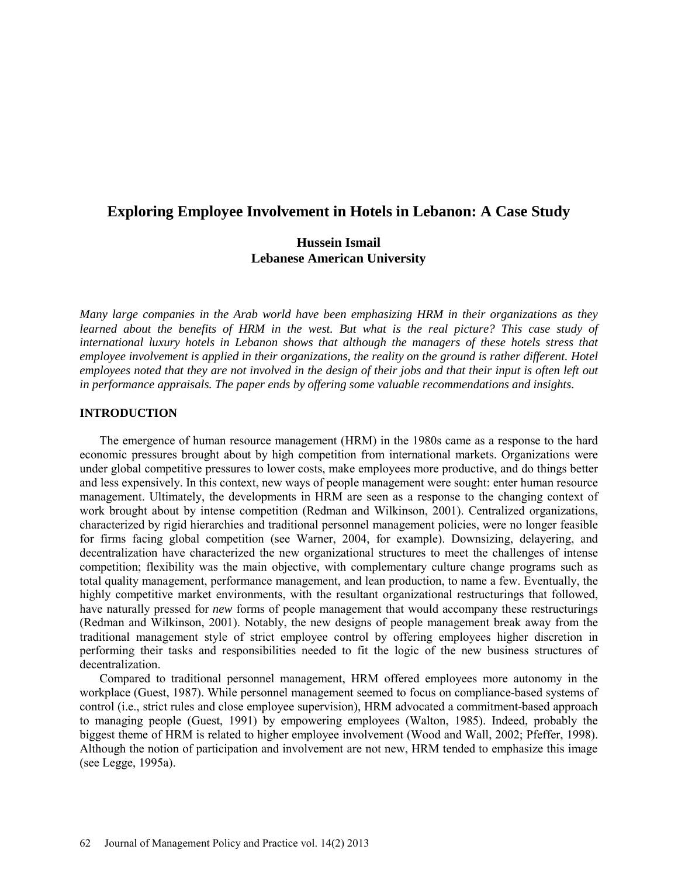# **Exploring Employee Involvement in Hotels in Lebanon: A Case Study**

# **Hussein Ismail Lebanese American University**

*Many large companies in the Arab world have been emphasizing HRM in their organizations as they*  learned about the benefits of HRM in the west. But what is the real picture? This case study of *international luxury hotels in Lebanon shows that although the managers of these hotels stress that employee involvement is applied in their organizations, the reality on the ground is rather different. Hotel employees noted that they are not involved in the design of their jobs and that their input is often left out in performance appraisals. The paper ends by offering some valuable recommendations and insights.* 

### **INTRODUCTION**

The emergence of human resource management (HRM) in the 1980s came as a response to the hard economic pressures brought about by high competition from international markets. Organizations were under global competitive pressures to lower costs, make employees more productive, and do things better and less expensively. In this context, new ways of people management were sought: enter human resource management. Ultimately, the developments in HRM are seen as a response to the changing context of work brought about by intense competition (Redman and Wilkinson, 2001). Centralized organizations, characterized by rigid hierarchies and traditional personnel management policies, were no longer feasible for firms facing global competition (see Warner, 2004, for example). Downsizing, delayering, and decentralization have characterized the new organizational structures to meet the challenges of intense competition; flexibility was the main objective, with complementary culture change programs such as total quality management, performance management, and lean production, to name a few. Eventually, the highly competitive market environments, with the resultant organizational restructurings that followed, have naturally pressed for *new* forms of people management that would accompany these restructurings (Redman and Wilkinson, 2001). Notably, the new designs of people management break away from the traditional management style of strict employee control by offering employees higher discretion in performing their tasks and responsibilities needed to fit the logic of the new business structures of decentralization.

Compared to traditional personnel management, HRM offered employees more autonomy in the workplace (Guest, 1987). While personnel management seemed to focus on compliance-based systems of control (i.e., strict rules and close employee supervision), HRM advocated a commitment-based approach to managing people (Guest, 1991) by empowering employees (Walton, 1985). Indeed, probably the biggest theme of HRM is related to higher employee involvement (Wood and Wall, 2002; Pfeffer, 1998). Although the notion of participation and involvement are not new, HRM tended to emphasize this image (see Legge, 1995a).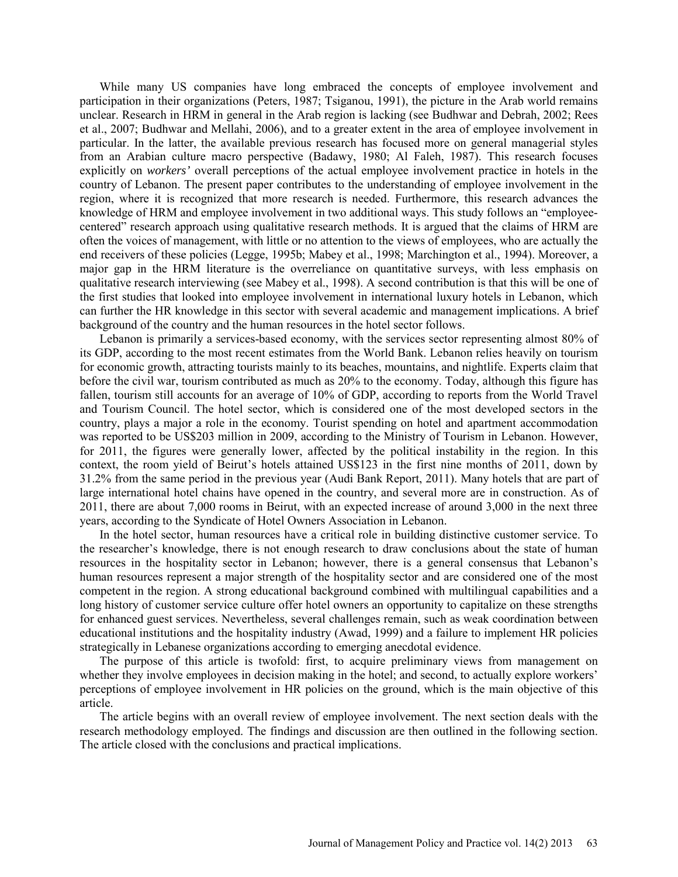While many US companies have long embraced the concepts of employee involvement and participation in their organizations (Peters, 1987; Tsiganou, 1991), the picture in the Arab world remains unclear. Research in HRM in general in the Arab region is lacking (see Budhwar and Debrah, 2002; Rees et al., 2007; Budhwar and Mellahi, 2006), and to a greater extent in the area of employee involvement in particular. In the latter, the available previous research has focused more on general managerial styles from an Arabian culture macro perspective (Badawy, 1980; Al Faleh, 1987). This research focuses explicitly on *workers'* overall perceptions of the actual employee involvement practice in hotels in the country of Lebanon. The present paper contributes to the understanding of employee involvement in the region, where it is recognized that more research is needed. Furthermore, this research advances the knowledge of HRM and employee involvement in two additional ways. This study follows an "employeecentered" research approach using qualitative research methods. It is argued that the claims of HRM are often the voices of management, with little or no attention to the views of employees, who are actually the end receivers of these policies (Legge, 1995b; Mabey et al., 1998; Marchington et al., 1994). Moreover, a major gap in the HRM literature is the overreliance on quantitative surveys, with less emphasis on qualitative research interviewing (see Mabey et al., 1998). A second contribution is that this will be one of the first studies that looked into employee involvement in international luxury hotels in Lebanon, which can further the HR knowledge in this sector with several academic and management implications. A brief background of the country and the human resources in the hotel sector follows.

Lebanon is primarily a services-based economy, with the services sector representing almost 80% of its GDP, according to the most recent estimates from the World Bank. Lebanon relies heavily on tourism for economic growth, attracting tourists mainly to its beaches, mountains, and nightlife. Experts claim that before the civil war, tourism contributed as much as 20% to the economy. Today, although this figure has fallen, tourism still accounts for an average of 10% of GDP, according to reports from the World Travel and Tourism Council. The hotel sector, which is considered one of the most developed sectors in the country, plays a major a role in the economy. Tourist spending on hotel and apartment accommodation was reported to be US\$203 million in 2009, according to the Ministry of Tourism in Lebanon. However, for 2011, the figures were generally lower, affected by the political instability in the region. In this context, the room yield of Beirut's hotels attained US\$123 in the first nine months of 2011, down by 31.2% from the same period in the previous year (Audi Bank Report, 2011). Many hotels that are part of large international hotel chains have opened in the country, and several more are in construction. As of 2011, there are about 7,000 rooms in Beirut, with an expected increase of around 3,000 in the next three years, according to the Syndicate of Hotel Owners Association in Lebanon.

In the hotel sector, human resources have a critical role in building distinctive customer service. To the researcher's knowledge, there is not enough research to draw conclusions about the state of human resources in the hospitality sector in Lebanon; however, there is a general consensus that Lebanon's human resources represent a major strength of the hospitality sector and are considered one of the most competent in the region. A strong educational background combined with multilingual capabilities and a long history of customer service culture offer hotel owners an opportunity to capitalize on these strengths for enhanced guest services. Nevertheless, several challenges remain, such as weak coordination between educational institutions and the hospitality industry (Awad, 1999) and a failure to implement HR policies strategically in Lebanese organizations according to emerging anecdotal evidence.

The purpose of this article is twofold: first, to acquire preliminary views from management on whether they involve employees in decision making in the hotel; and second, to actually explore workers' perceptions of employee involvement in HR policies on the ground, which is the main objective of this article.

The article begins with an overall review of employee involvement. The next section deals with the research methodology employed. The findings and discussion are then outlined in the following section. The article closed with the conclusions and practical implications.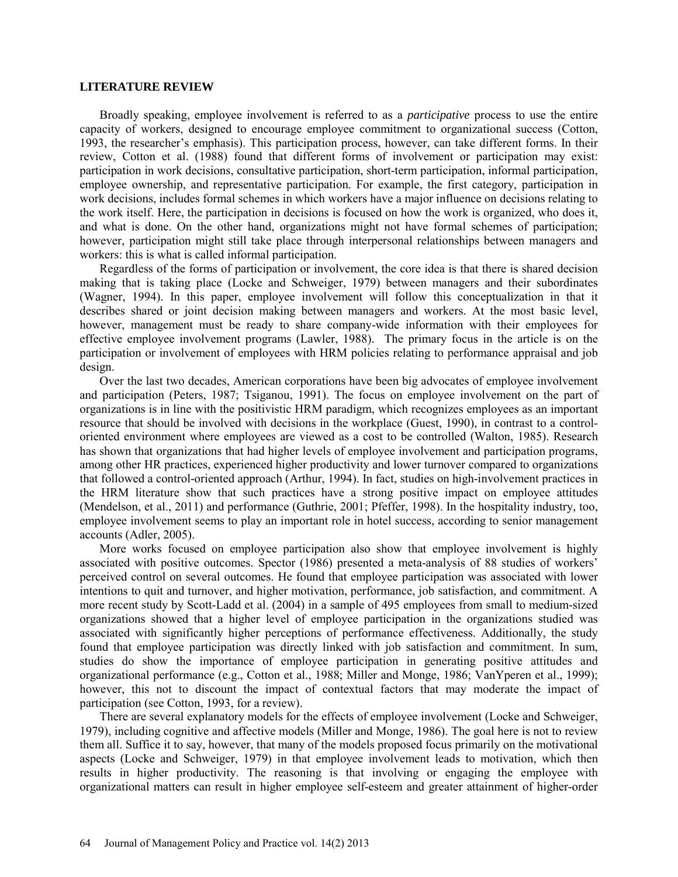#### **LITERATURE REVIEW**

Broadly speaking, employee involvement is referred to as a *participative* process to use the entire capacity of workers, designed to encourage employee commitment to organizational success (Cotton, 1993, the researcher's emphasis). This participation process, however, can take different forms. In their review, Cotton et al. (1988) found that different forms of involvement or participation may exist: participation in work decisions, consultative participation, short-term participation, informal participation, employee ownership, and representative participation. For example, the first category, participation in work decisions, includes formal schemes in which workers have a major influence on decisions relating to the work itself. Here, the participation in decisions is focused on how the work is organized, who does it, and what is done. On the other hand, organizations might not have formal schemes of participation; however, participation might still take place through interpersonal relationships between managers and workers: this is what is called informal participation.

Regardless of the forms of participation or involvement, the core idea is that there is shared decision making that is taking place (Locke and Schweiger, 1979) between managers and their subordinates (Wagner, 1994). In this paper, employee involvement will follow this conceptualization in that it describes shared or joint decision making between managers and workers. At the most basic level, however, management must be ready to share company-wide information with their employees for effective employee involvement programs (Lawler, 1988). The primary focus in the article is on the participation or involvement of employees with HRM policies relating to performance appraisal and job design.

Over the last two decades, American corporations have been big advocates of employee involvement and participation (Peters, 1987; Tsiganou, 1991). The focus on employee involvement on the part of organizations is in line with the positivistic HRM paradigm, which recognizes employees as an important resource that should be involved with decisions in the workplace (Guest, 1990), in contrast to a controloriented environment where employees are viewed as a cost to be controlled (Walton, 1985). Research has shown that organizations that had higher levels of employee involvement and participation programs, among other HR practices, experienced higher productivity and lower turnover compared to organizations that followed a control-oriented approach (Arthur, 1994). In fact, studies on high-involvement practices in the HRM literature show that such practices have a strong positive impact on employee attitudes (Mendelson, et al., 2011) and performance (Guthrie, 2001; Pfeffer, 1998). In the hospitality industry, too, employee involvement seems to play an important role in hotel success, according to senior management accounts (Adler, 2005).

More works focused on employee participation also show that employee involvement is highly associated with positive outcomes. Spector (1986) presented a meta-analysis of 88 studies of workers' perceived control on several outcomes. He found that employee participation was associated with lower intentions to quit and turnover, and higher motivation, performance, job satisfaction, and commitment. A more recent study by Scott-Ladd et al. (2004) in a sample of 495 employees from small to medium-sized organizations showed that a higher level of employee participation in the organizations studied was associated with significantly higher perceptions of performance effectiveness. Additionally, the study found that employee participation was directly linked with job satisfaction and commitment. In sum, studies do show the importance of employee participation in generating positive attitudes and organizational performance (e.g., Cotton et al., 1988; Miller and Monge, 1986; VanYperen et al., 1999); however, this not to discount the impact of contextual factors that may moderate the impact of participation (see Cotton, 1993, for a review).

There are several explanatory models for the effects of employee involvement (Locke and Schweiger, 1979), including cognitive and affective models (Miller and Monge, 1986). The goal here is not to review them all. Suffice it to say, however, that many of the models proposed focus primarily on the motivational aspects (Locke and Schweiger, 1979) in that employee involvement leads to motivation, which then results in higher productivity. The reasoning is that involving or engaging the employee with organizational matters can result in higher employee self-esteem and greater attainment of higher-order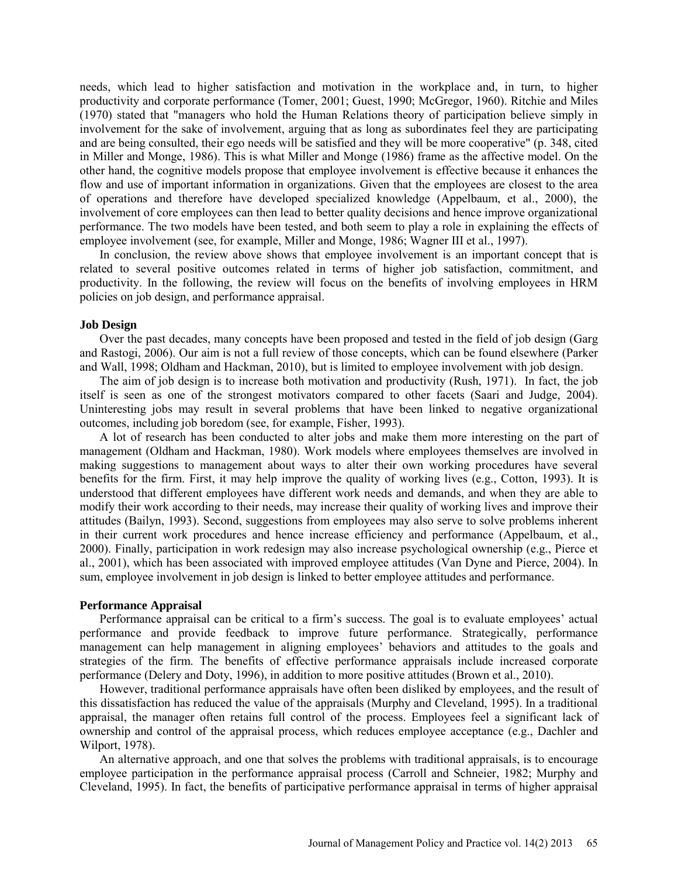needs, which lead to higher satisfaction and motivation in the workplace and, in turn, to higher productivity and corporate performance (Tomer, 2001; Guest, 1990; McGregor, 1960). Ritchie and Miles (1970) stated that "managers who hold the Human Relations theory of participation believe simply in involvement for the sake of involvement, arguing that as long as subordinates feel they are participating and are being consulted, their ego needs will be satisfied and they will be more cooperative" (p. 348, cited in Miller and Monge, 1986). This is what Miller and Monge (1986) frame as the affective model. On the other hand, the cognitive models propose that employee involvement is effective because it enhances the flow and use of important information in organizations. Given that the employees are closest to the area of operations and therefore have developed specialized knowledge (Appelbaum, et al., 2000), the involvement of core employees can then lead to better quality decisions and hence improve organizational performance. The two models have been tested, and both seem to play a role in explaining the effects of employee involvement (see, for example, Miller and Monge, 1986; Wagner III et al., 1997).

In conclusion, the review above shows that employee involvement is an important concept that is related to several positive outcomes related in terms of higher job satisfaction, commitment, and productivity. In the following, the review will focus on the benefits of involving employees in HRM policies on job design, and performance appraisal.

#### **Job Design**

Over the past decades, many concepts have been proposed and tested in the field of job design (Garg and Rastogi, 2006). Our aim is not a full review of those concepts, which can be found elsewhere (Parker and Wall, 1998; Oldham and Hackman, 2010), but is limited to employee involvement with job design.

The aim of job design is to increase both motivation and productivity (Rush, 1971). In fact, the job itself is seen as one of the strongest motivators compared to other facets (Saari and Judge, 2004). Uninteresting jobs may result in several problems that have been linked to negative organizational outcomes, including job boredom (see, for example, Fisher, 1993).

A lot of research has been conducted to alter jobs and make them more interesting on the part of management (Oldham and Hackman, 1980). Work models where employees themselves are involved in making suggestions to management about ways to alter their own working procedures have several benefits for the firm. First, it may help improve the quality of working lives (e.g., Cotton, 1993). It is understood that different employees have different work needs and demands, and when they are able to modify their work according to their needs, may increase their quality of working lives and improve their attitudes (Bailyn, 1993). Second, suggestions from employees may also serve to solve problems inherent in their current work procedures and hence increase efficiency and performance (Appelbaum, et al., 2000). Finally, participation in work redesign may also increase psychological ownership (e.g., Pierce et al., 2001), which has been associated with improved employee attitudes (Van Dyne and Pierce, 2004). In sum, employee involvement in job design is linked to better employee attitudes and performance.

#### **Performance Appraisal**

Performance appraisal can be critical to a firm's success. The goal is to evaluate employees' actual performance and provide feedback to improve future performance. Strategically, performance management can help management in aligning employees' behaviors and attitudes to the goals and strategies of the firm. The benefits of effective performance appraisals include increased corporate performance (Delery and Doty, 1996), in addition to more positive attitudes (Brown et al., 2010).

However, traditional performance appraisals have often been disliked by employees, and the result of this dissatisfaction has reduced the value of the appraisals (Murphy and Cleveland, 1995). In a traditional appraisal, the manager often retains full control of the process. Employees feel a significant lack of ownership and control of the appraisal process, which reduces employee acceptance (e.g., Dachler and Wilport, 1978).

An alternative approach, and one that solves the problems with traditional appraisals, is to encourage employee participation in the performance appraisal process (Carroll and Schneier, 1982; Murphy and Cleveland, 1995). In fact, the benefits of participative performance appraisal in terms of higher appraisal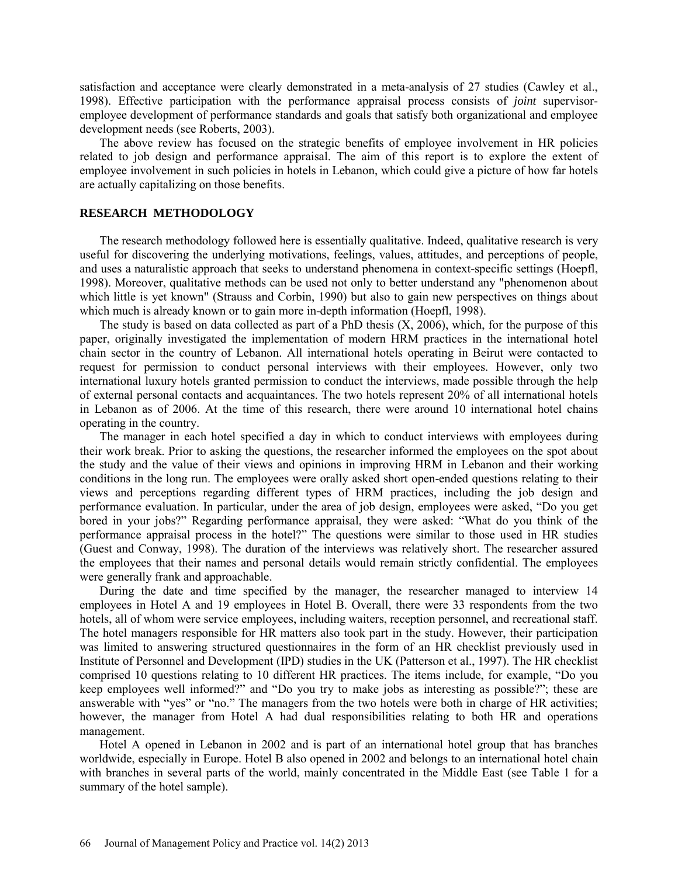satisfaction and acceptance were clearly demonstrated in a meta-analysis of 27 studies (Cawley et al., 1998). Effective participation with the performance appraisal process consists of *joint* supervisoremployee development of performance standards and goals that satisfy both organizational and employee development needs (see Roberts, 2003).

The above review has focused on the strategic benefits of employee involvement in HR policies related to job design and performance appraisal. The aim of this report is to explore the extent of employee involvement in such policies in hotels in Lebanon, which could give a picture of how far hotels are actually capitalizing on those benefits.

### **RESEARCH METHODOLOGY**

The research methodology followed here is essentially qualitative. Indeed, qualitative research is very useful for discovering the underlying motivations, feelings, values, attitudes, and perceptions of people, and uses a naturalistic approach that seeks to understand phenomena in context-specific settings (Hoepfl, 1998). Moreover, qualitative methods can be used not only to better understand any "phenomenon about which little is yet known" (Strauss and Corbin, 1990) but also to gain new perspectives on things about which much is already known or to gain more in-depth information (Hoepfl, 1998).

The study is based on data collected as part of a PhD thesis (X, 2006), which, for the purpose of this paper, originally investigated the implementation of modern HRM practices in the international hotel chain sector in the country of Lebanon. All international hotels operating in Beirut were contacted to request for permission to conduct personal interviews with their employees. However, only two international luxury hotels granted permission to conduct the interviews, made possible through the help of external personal contacts and acquaintances. The two hotels represent 20% of all international hotels in Lebanon as of 2006. At the time of this research, there were around 10 international hotel chains operating in the country.

The manager in each hotel specified a day in which to conduct interviews with employees during their work break. Prior to asking the questions, the researcher informed the employees on the spot about the study and the value of their views and opinions in improving HRM in Lebanon and their working conditions in the long run. The employees were orally asked short open-ended questions relating to their views and perceptions regarding different types of HRM practices, including the job design and performance evaluation. In particular, under the area of job design, employees were asked, "Do you get bored in your jobs?" Regarding performance appraisal, they were asked: "What do you think of the performance appraisal process in the hotel?" The questions were similar to those used in HR studies (Guest and Conway, 1998). The duration of the interviews was relatively short. The researcher assured the employees that their names and personal details would remain strictly confidential. The employees were generally frank and approachable.

During the date and time specified by the manager, the researcher managed to interview 14 employees in Hotel A and 19 employees in Hotel B. Overall, there were 33 respondents from the two hotels, all of whom were service employees, including waiters, reception personnel, and recreational staff. The hotel managers responsible for HR matters also took part in the study. However, their participation was limited to answering structured questionnaires in the form of an HR checklist previously used in Institute of Personnel and Development (IPD) studies in the UK (Patterson et al., 1997). The HR checklist comprised 10 questions relating to 10 different HR practices. The items include, for example, "Do you keep employees well informed?" and "Do you try to make jobs as interesting as possible?"; these are answerable with "yes" or "no." The managers from the two hotels were both in charge of HR activities; however, the manager from Hotel A had dual responsibilities relating to both HR and operations management.

Hotel A opened in Lebanon in 2002 and is part of an international hotel group that has branches worldwide, especially in Europe. Hotel B also opened in 2002 and belongs to an international hotel chain with branches in several parts of the world, mainly concentrated in the Middle East (see Table 1 for a summary of the hotel sample).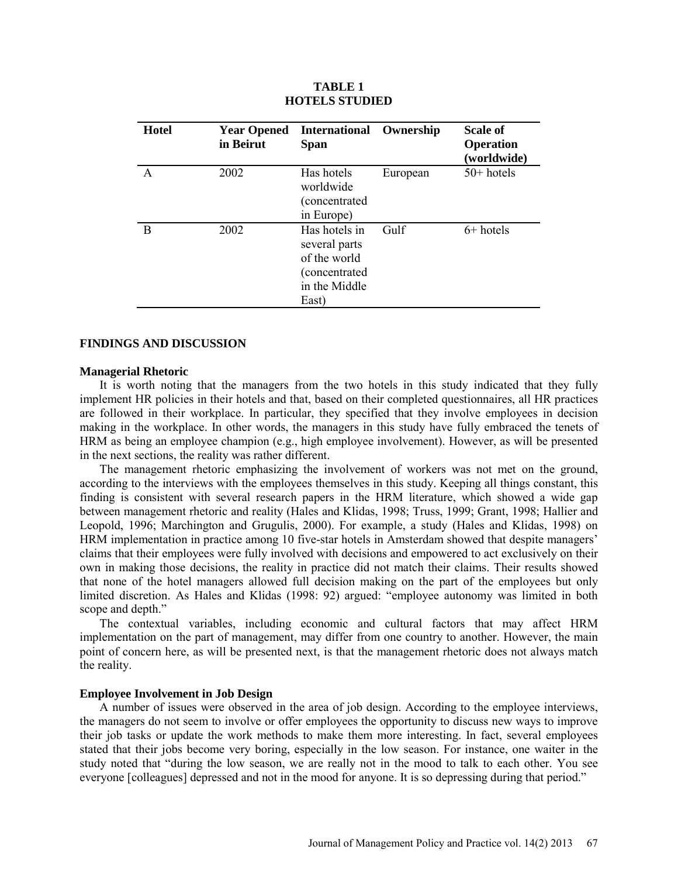| <b>Hotel</b> | <b>Year Opened</b><br>in Beirut | International Ownership<br><b>Span</b>                                                    |          | <b>Scale of</b><br><b>Operation</b><br>(worldwide) |
|--------------|---------------------------------|-------------------------------------------------------------------------------------------|----------|----------------------------------------------------|
|              | 2002                            | Has hotels<br>worldwide<br>(concentrated<br>in Europe)                                    | European | $50+$ hotels                                       |
| B            | 2002                            | Has hotels in<br>several parts<br>of the world<br>(concentrated<br>in the Middle<br>East) | Gulf     | $6+$ hotels                                        |

### **TABLE 1 HOTELS STUDIED**

### **FINDINGS AND DISCUSSION**

#### **Managerial Rhetoric**

It is worth noting that the managers from the two hotels in this study indicated that they fully implement HR policies in their hotels and that, based on their completed questionnaires, all HR practices are followed in their workplace. In particular, they specified that they involve employees in decision making in the workplace. In other words, the managers in this study have fully embraced the tenets of HRM as being an employee champion (e.g., high employee involvement). However, as will be presented in the next sections, the reality was rather different.

The management rhetoric emphasizing the involvement of workers was not met on the ground, according to the interviews with the employees themselves in this study. Keeping all things constant, this finding is consistent with several research papers in the HRM literature, which showed a wide gap between management rhetoric and reality (Hales and Klidas, 1998; Truss, 1999; Grant, 1998; Hallier and Leopold, 1996; Marchington and Grugulis, 2000). For example, a study (Hales and Klidas, 1998) on HRM implementation in practice among 10 five-star hotels in Amsterdam showed that despite managers' claims that their employees were fully involved with decisions and empowered to act exclusively on their own in making those decisions, the reality in practice did not match their claims. Their results showed that none of the hotel managers allowed full decision making on the part of the employees but only limited discretion. As Hales and Klidas (1998: 92) argued: "employee autonomy was limited in both scope and depth."

The contextual variables, including economic and cultural factors that may affect HRM implementation on the part of management, may differ from one country to another. However, the main point of concern here, as will be presented next, is that the management rhetoric does not always match the reality.

# **Employee Involvement in Job Design**

A number of issues were observed in the area of job design. According to the employee interviews, the managers do not seem to involve or offer employees the opportunity to discuss new ways to improve their job tasks or update the work methods to make them more interesting. In fact, several employees stated that their jobs become very boring, especially in the low season. For instance, one waiter in the study noted that "during the low season, we are really not in the mood to talk to each other. You see everyone [colleagues] depressed and not in the mood for anyone. It is so depressing during that period."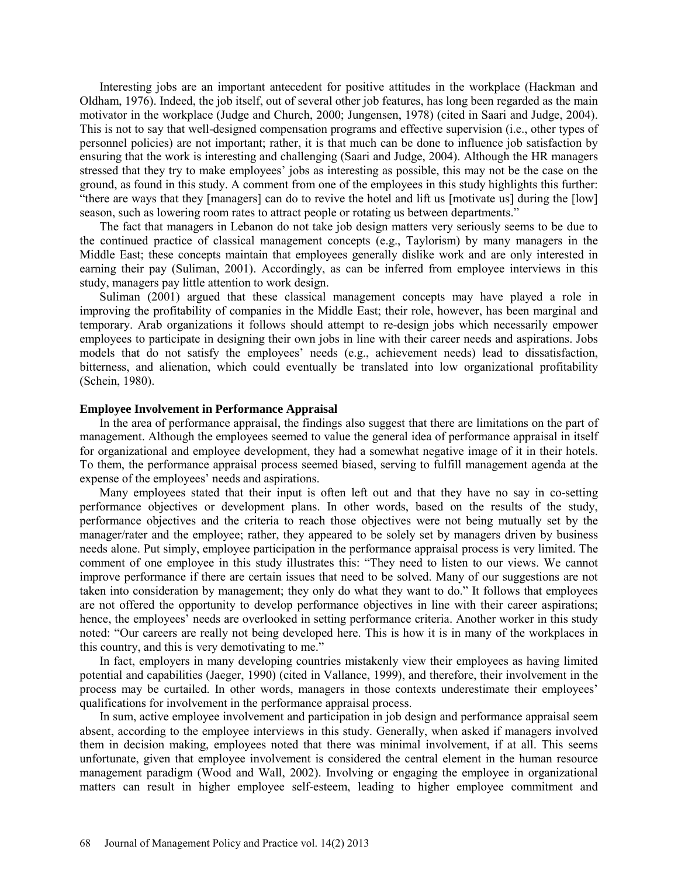Interesting jobs are an important antecedent for positive attitudes in the workplace (Hackman and Oldham, 1976). Indeed, the job itself, out of several other job features, has long been regarded as the main motivator in the workplace (Judge and Church, 2000; Jungensen, 1978) (cited in Saari and Judge, 2004). This is not to say that well-designed compensation programs and effective supervision (i.e., other types of personnel policies) are not important; rather, it is that much can be done to influence job satisfaction by ensuring that the work is interesting and challenging (Saari and Judge, 2004). Although the HR managers stressed that they try to make employees' jobs as interesting as possible, this may not be the case on the ground, as found in this study. A comment from one of the employees in this study highlights this further: "there are ways that they [managers] can do to revive the hotel and lift us [motivate us] during the [low] season, such as lowering room rates to attract people or rotating us between departments."

The fact that managers in Lebanon do not take job design matters very seriously seems to be due to the continued practice of classical management concepts (e.g., Taylorism) by many managers in the Middle East; these concepts maintain that employees generally dislike work and are only interested in earning their pay (Suliman, 2001). Accordingly, as can be inferred from employee interviews in this study, managers pay little attention to work design.

Suliman (2001) argued that these classical management concepts may have played a role in improving the profitability of companies in the Middle East; their role, however, has been marginal and temporary. Arab organizations it follows should attempt to re-design jobs which necessarily empower employees to participate in designing their own jobs in line with their career needs and aspirations. Jobs models that do not satisfy the employees' needs (e.g., achievement needs) lead to dissatisfaction, bitterness, and alienation, which could eventually be translated into low organizational profitability (Schein, 1980).

### **Employee Involvement in Performance Appraisal**

In the area of performance appraisal, the findings also suggest that there are limitations on the part of management. Although the employees seemed to value the general idea of performance appraisal in itself for organizational and employee development, they had a somewhat negative image of it in their hotels. To them, the performance appraisal process seemed biased, serving to fulfill management agenda at the expense of the employees' needs and aspirations.

Many employees stated that their input is often left out and that they have no say in co-setting performance objectives or development plans. In other words, based on the results of the study, performance objectives and the criteria to reach those objectives were not being mutually set by the manager/rater and the employee; rather, they appeared to be solely set by managers driven by business needs alone. Put simply, employee participation in the performance appraisal process is very limited. The comment of one employee in this study illustrates this: "They need to listen to our views. We cannot improve performance if there are certain issues that need to be solved. Many of our suggestions are not taken into consideration by management; they only do what they want to do." It follows that employees are not offered the opportunity to develop performance objectives in line with their career aspirations; hence, the employees' needs are overlooked in setting performance criteria. Another worker in this study noted: "Our careers are really not being developed here. This is how it is in many of the workplaces in this country, and this is very demotivating to me."

In fact, employers in many developing countries mistakenly view their employees as having limited potential and capabilities (Jaeger, 1990) (cited in Vallance, 1999), and therefore, their involvement in the process may be curtailed. In other words, managers in those contexts underestimate their employees' qualifications for involvement in the performance appraisal process.

In sum, active employee involvement and participation in job design and performance appraisal seem absent, according to the employee interviews in this study. Generally, when asked if managers involved them in decision making, employees noted that there was minimal involvement, if at all. This seems unfortunate, given that employee involvement is considered the central element in the human resource management paradigm (Wood and Wall, 2002). Involving or engaging the employee in organizational matters can result in higher employee self-esteem, leading to higher employee commitment and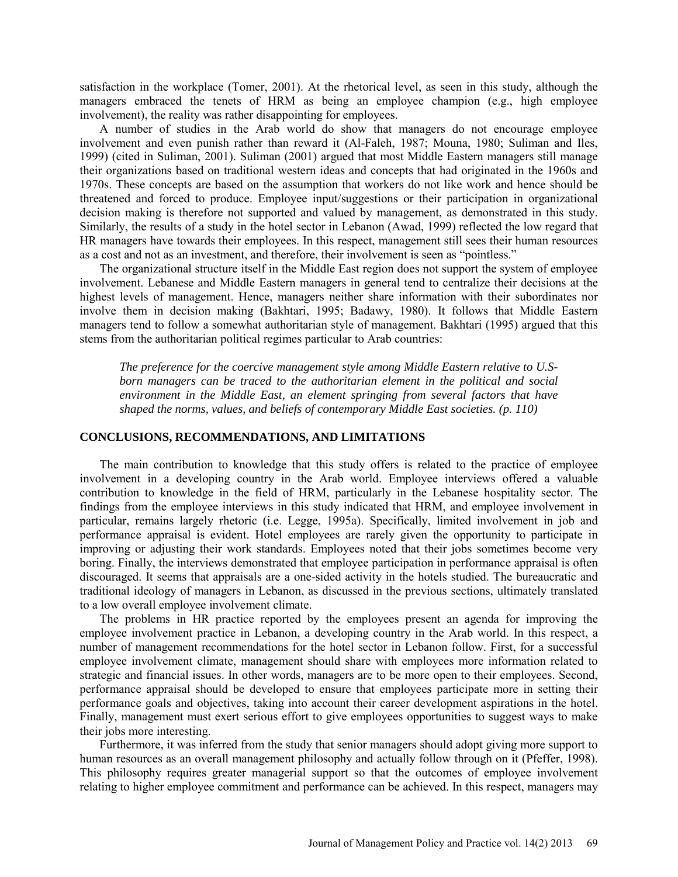satisfaction in the workplace (Tomer, 2001). At the rhetorical level, as seen in this study, although the managers embraced the tenets of HRM as being an employee champion (e.g., high employee involvement), the reality was rather disappointing for employees.

A number of studies in the Arab world do show that managers do not encourage employee involvement and even punish rather than reward it (Al-Faleh, 1987; Mouna, 1980; Suliman and Iles, 1999) (cited in Suliman, 2001). Suliman (2001) argued that most Middle Eastern managers still manage their organizations based on traditional western ideas and concepts that had originated in the 1960s and 1970s. These concepts are based on the assumption that workers do not like work and hence should be threatened and forced to produce. Employee input/suggestions or their participation in organizational decision making is therefore not supported and valued by management, as demonstrated in this study. Similarly, the results of a study in the hotel sector in Lebanon (Awad, 1999) reflected the low regard that HR managers have towards their employees. In this respect, management still sees their human resources as a cost and not as an investment, and therefore, their involvement is seen as "pointless."

The organizational structure itself in the Middle East region does not support the system of employee involvement. Lebanese and Middle Eastern managers in general tend to centralize their decisions at the highest levels of management. Hence, managers neither share information with their subordinates nor involve them in decision making (Bakhtari, 1995; Badawy, 1980). It follows that Middle Eastern managers tend to follow a somewhat authoritarian style of management. Bakhtari (1995) argued that this stems from the authoritarian political regimes particular to Arab countries:

*The preference for the coercive management style among Middle Eastern relative to U.S*born managers can be traced to the authoritarian element in the political and social *environment in the Middle East, an element springing from several factors that have shaped the norms, values, and beliefs of contemporary Middle East societies. (p. 110)* 

### **CONCLUSIONS, RECOMMENDATIONS, AND LIMITATIONS**

The main contribution to knowledge that this study offers is related to the practice of employee involvement in a developing country in the Arab world. Employee interviews offered a valuable contribution to knowledge in the field of HRM, particularly in the Lebanese hospitality sector. The findings from the employee interviews in this study indicated that HRM, and employee involvement in particular, remains largely rhetoric (i.e. Legge, 1995a). Specifically, limited involvement in job and performance appraisal is evident. Hotel employees are rarely given the opportunity to participate in improving or adjusting their work standards. Employees noted that their jobs sometimes become very boring. Finally, the interviews demonstrated that employee participation in performance appraisal is often discouraged. It seems that appraisals are a one-sided activity in the hotels studied. The bureaucratic and traditional ideology of managers in Lebanon, as discussed in the previous sections, ultimately translated to a low overall employee involvement climate.

The problems in HR practice reported by the employees present an agenda for improving the employee involvement practice in Lebanon, a developing country in the Arab world. In this respect, a number of management recommendations for the hotel sector in Lebanon follow. First, for a successful employee involvement climate, management should share with employees more information related to strategic and financial issues. In other words, managers are to be more open to their employees. Second, performance appraisal should be developed to ensure that employees participate more in setting their performance goals and objectives, taking into account their career development aspirations in the hotel. Finally, management must exert serious effort to give employees opportunities to suggest ways to make their jobs more interesting.

Furthermore, it was inferred from the study that senior managers should adopt giving more support to human resources as an overall management philosophy and actually follow through on it (Pfeffer, 1998). This philosophy requires greater managerial support so that the outcomes of employee involvement relating to higher employee commitment and performance can be achieved. In this respect, managers may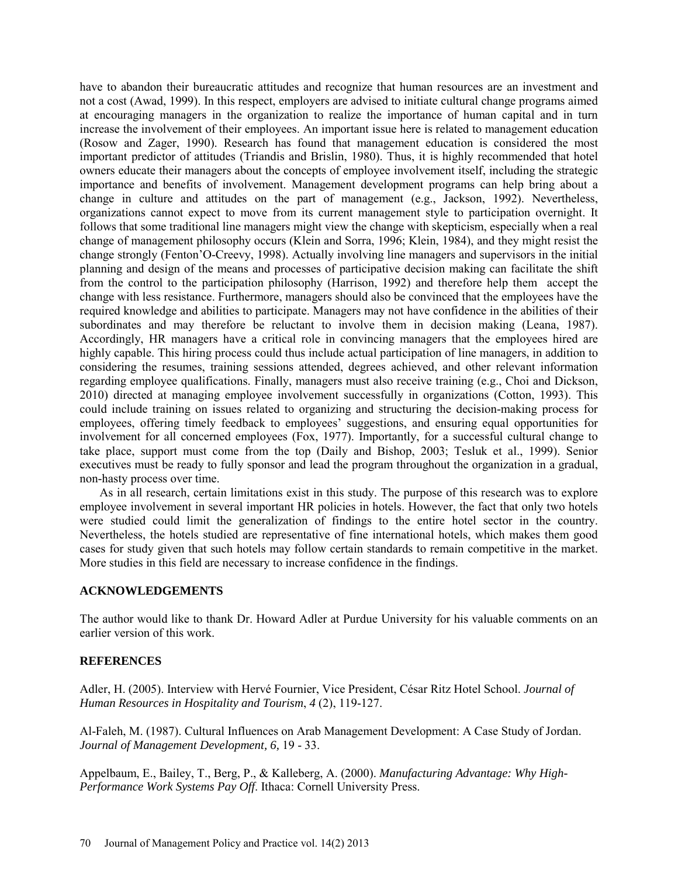have to abandon their bureaucratic attitudes and recognize that human resources are an investment and not a cost (Awad, 1999). In this respect, employers are advised to initiate cultural change programs aimed at encouraging managers in the organization to realize the importance of human capital and in turn increase the involvement of their employees. An important issue here is related to management education (Rosow and Zager, 1990). Research has found that management education is considered the most important predictor of attitudes (Triandis and Brislin, 1980). Thus, it is highly recommended that hotel owners educate their managers about the concepts of employee involvement itself, including the strategic importance and benefits of involvement. Management development programs can help bring about a change in culture and attitudes on the part of management (e.g., Jackson, 1992). Nevertheless, organizations cannot expect to move from its current management style to participation overnight. It follows that some traditional line managers might view the change with skepticism, especially when a real change of management philosophy occurs (Klein and Sorra, 1996; Klein, 1984), and they might resist the change strongly (Fenton'O-Creevy, 1998). Actually involving line managers and supervisors in the initial planning and design of the means and processes of participative decision making can facilitate the shift from the control to the participation philosophy (Harrison, 1992) and therefore help them accept the change with less resistance. Furthermore, managers should also be convinced that the employees have the required knowledge and abilities to participate. Managers may not have confidence in the abilities of their subordinates and may therefore be reluctant to involve them in decision making (Leana, 1987). Accordingly, HR managers have a critical role in convincing managers that the employees hired are highly capable. This hiring process could thus include actual participation of line managers, in addition to considering the resumes, training sessions attended, degrees achieved, and other relevant information regarding employee qualifications. Finally, managers must also receive training (e.g., Choi and Dickson, 2010) directed at managing employee involvement successfully in organizations (Cotton, 1993). This could include training on issues related to organizing and structuring the decision-making process for employees, offering timely feedback to employees' suggestions, and ensuring equal opportunities for involvement for all concerned employees (Fox, 1977). Importantly, for a successful cultural change to take place, support must come from the top (Daily and Bishop, 2003; Tesluk et al., 1999). Senior executives must be ready to fully sponsor and lead the program throughout the organization in a gradual, non-hasty process over time.

As in all research, certain limitations exist in this study. The purpose of this research was to explore employee involvement in several important HR policies in hotels. However, the fact that only two hotels were studied could limit the generalization of findings to the entire hotel sector in the country. Nevertheless, the hotels studied are representative of fine international hotels, which makes them good cases for study given that such hotels may follow certain standards to remain competitive in the market. More studies in this field are necessary to increase confidence in the findings.

# **ACKNOWLEDGEMENTS**

The author would like to thank Dr. Howard Adler at Purdue University for his valuable comments on an earlier version of this work.

# **REFERENCES**

Adler, H. (2005). Interview with Hervé Fournier, Vice President, César Ritz Hotel School. *Journal of Human Resources in Hospitality and Tourism*, *4* (2), 119-127.

Al-Faleh, M. (1987). Cultural Influences on Arab Management Development: A Case Study of Jordan. *Journal of Management Development, 6,* 19 - 33.

Appelbaum, E., Bailey, T., Berg, P., & Kalleberg, A. (2000). *Manufacturing Advantage: Why High-Performance Work Systems Pay Off*. Ithaca: Cornell University Press.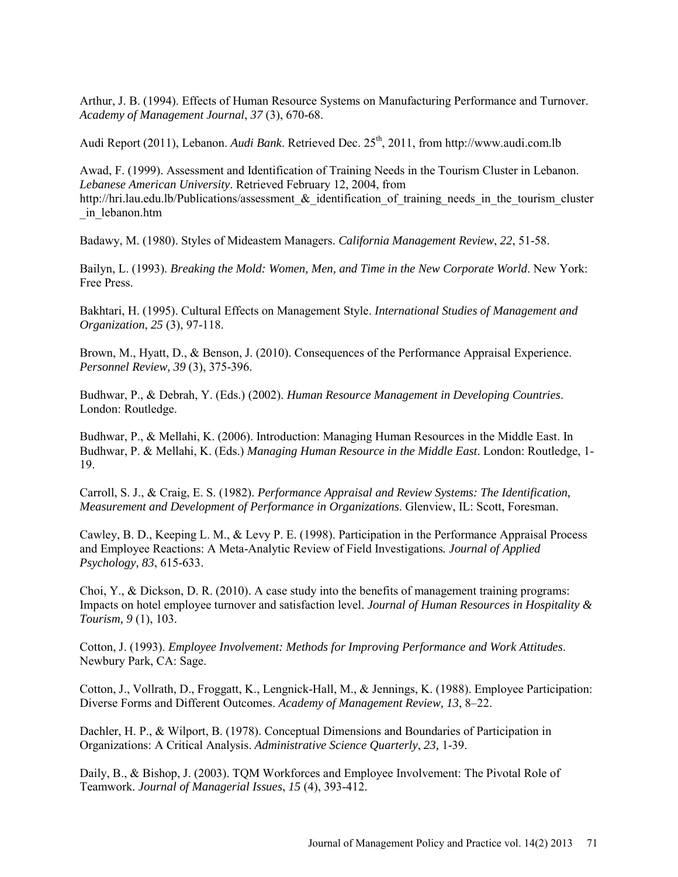Arthur, J. B. (1994). Effects of Human Resource Systems on Manufacturing Performance and Turnover. *Academy of Management Journal*, *37* (3), 670-68.

Audi Report (2011), Lebanon. *Audi Bank*. Retrieved Dec. 25<sup>th</sup>, 2011, from http://www.audi.com.lb

Awad, F. (1999). Assessment and Identification of Training Needs in the Tourism Cluster in Lebanon. *Lebanese American University*. Retrieved February 12, 2004, from http://hri.lau.edu.lb/Publications/assessment & identification of training needs in the tourism cluster \_in\_lebanon.htm

Badawy, M. (1980). Styles of Mideastem Managers. *California Management Review*, *22*, 51-58.

Bailyn, L. (1993). *Breaking the Mold: Women, Men, and Time in the New Corporate World*. New York: Free Press.

Bakhtari, H. (1995). Cultural Effects on Management Style. *International Studies of Management and Organization*, *25* (3), 97-118.

Brown, M., Hyatt, D., & Benson, J. (2010). Consequences of the Performance Appraisal Experience. *Personnel Review, 39* (3), 375-396.

Budhwar, P., & Debrah, Y. (Eds.) (2002). *Human Resource Management in Developing Countries*. London: Routledge.

Budhwar, P., & Mellahi, K. (2006). Introduction: Managing Human Resources in the Middle East. In Budhwar, P. & Mellahi, K. (Eds.) *Managing Human Resource in the Middle East*. London: Routledge, 1- 19.

Carroll, S. J., & Craig, E. S. (1982). *Performance Appraisal and Review Systems: The Identification, Measurement and Development of Performance in Organizations*. Glenview, IL: Scott, Foresman.

Cawley, B. D., Keeping L. M., & Levy P. E. (1998). Participation in the Performance Appraisal Process and Employee Reactions: A Meta-Analytic Review of Field Investigations*. Journal of Applied Psychology, 83*, 615-633.

Choi, Y., & Dickson, D. R. (2010). A case study into the benefits of management training programs: Impacts on hotel employee turnover and satisfaction level. *Journal of Human Resources in Hospitality & Tourism, 9* (1), 103.

Cotton, J. (1993). *Employee Involvement: Methods for Improving Performance and Work Attitudes*. Newbury Park, CA: Sage.

Cotton, J., Vollrath, D., Froggatt, K., Lengnick-Hall, M., & Jennings, K. (1988). Employee Participation: Diverse Forms and Different Outcomes. *Academy of Management Review, 13*, 8–22.

Dachler, H. P., & Wilport, B. (1978). Conceptual Dimensions and Boundaries of Participation in Organizations: A Critical Analysis. *Administrative Science Quarterly*, *23,* 1-39.

Daily, B., & Bishop, J. (2003). TQM Workforces and Employee Involvement: The Pivotal Role of Teamwork. *Journal of Managerial Issues*, *15* (4), 393-412.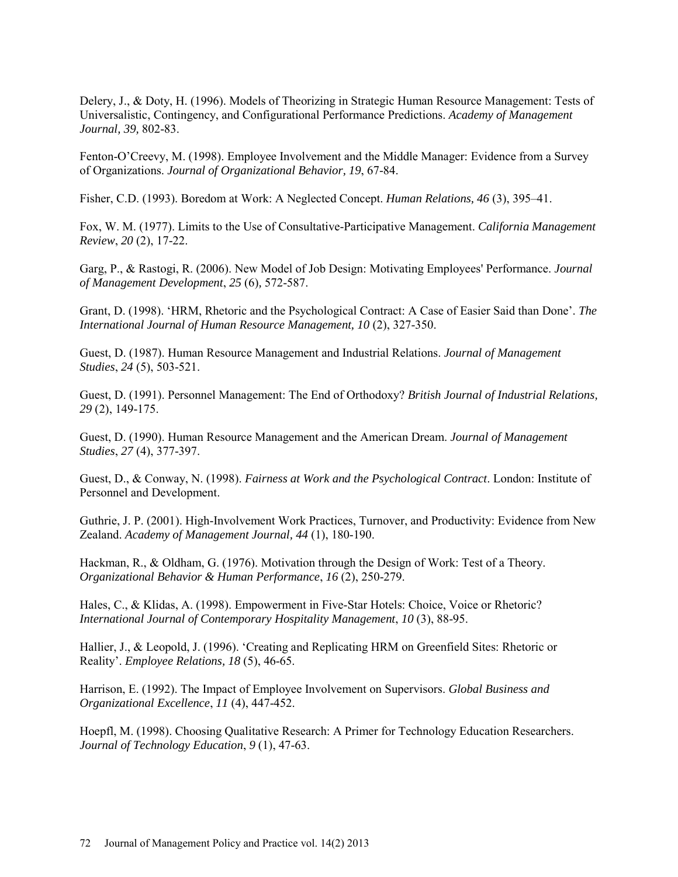Delery, J., & Doty, H. (1996). Models of Theorizing in Strategic Human Resource Management: Tests of Universalistic, Contingency, and Configurational Performance Predictions. *Academy of Management Journal, 39,* 802-83.

Fenton-O'Creevy, M. (1998). Employee Involvement and the Middle Manager: Evidence from a Survey of Organizations. *Journal of Organizational Behavior, 19*, 67-84.

Fisher, C.D. (1993). Boredom at Work: A Neglected Concept. *Human Relations, 46* (3), 395–41.

Fox, W. M. (1977). Limits to the Use of Consultative-Participative Management. *California Management Review*, *20* (2), 17-22.

Garg, P., & Rastogi, R. (2006). New Model of Job Design: Motivating Employees' Performance. *Journal of Management Development*, *25* (6)*,* 572-587.

Grant, D. (1998). 'HRM, Rhetoric and the Psychological Contract: A Case of Easier Said than Done'. *The International Journal of Human Resource Management, 10* (2), 327-350.

Guest, D. (1987). Human Resource Management and Industrial Relations. *Journal of Management Studies*, *24* (5), 503-521.

Guest, D. (1991). Personnel Management: The End of Orthodoxy? *British Journal of Industrial Relations, 29* (2), 149-175.

Guest, D. (1990). Human Resource Management and the American Dream. *Journal of Management Studies*, *27* (4), 377-397.

Guest, D., & Conway, N. (1998). *Fairness at Work and the Psychological Contract*. London: Institute of Personnel and Development.

Guthrie, J. P. (2001). High-Involvement Work Practices, Turnover, and Productivity: Evidence from New Zealand. *Academy of Management Journal, 44* (1), 180-190.

Hackman, R., & Oldham, G. (1976). Motivation through the Design of Work: Test of a Theory. *Organizational Behavior & Human Performance*, *16* (2), 250-279.

Hales, C., & Klidas, A. (1998). Empowerment in Five-Star Hotels: Choice, Voice or Rhetoric? *International Journal of Contemporary Hospitality Management*, *10* (3), 88-95.

Hallier, J., & Leopold, J. (1996). 'Creating and Replicating HRM on Greenfield Sites: Rhetoric or Reality'. *Employee Relations, 18* (5), 46-65.

Harrison, E. (1992). The Impact of Employee Involvement on Supervisors. *Global Business and Organizational Excellence*, *11* (4), 447-452.

Hoepfl, M. (1998). Choosing Qualitative Research: A Primer for Technology Education Researchers. *Journal of Technology Education*, *9* (1), 47-63.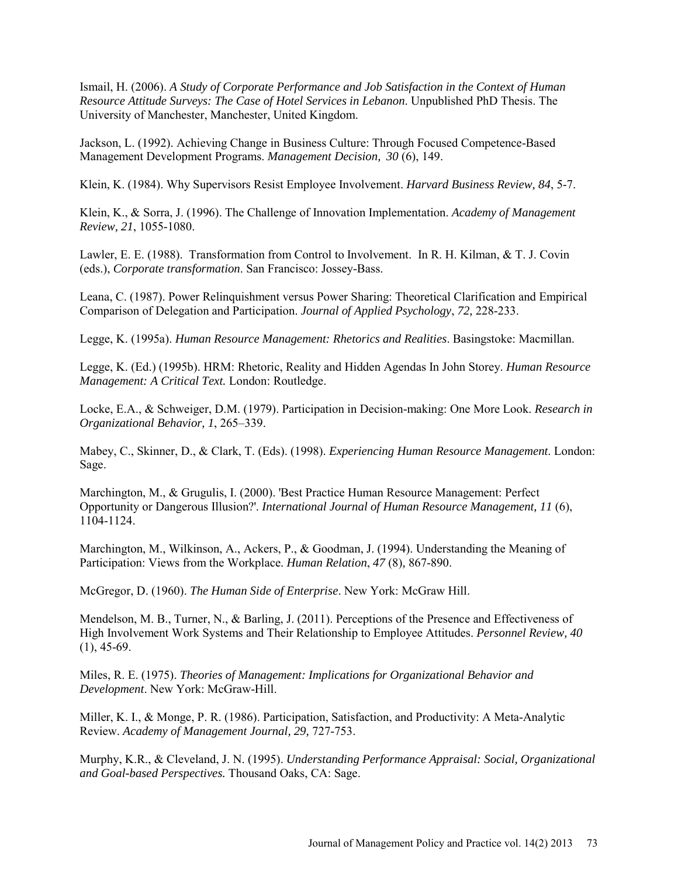Ismail, H. (2006). *A Study of Corporate Performance and Job Satisfaction in the Context of Human Resource Attitude Surveys: The Case of Hotel Services in Lebanon*. Unpublished PhD Thesis. The University of Manchester, Manchester, United Kingdom.

Jackson, L. (1992). Achieving Change in Business Culture: Through Focused Competence-Based Management Development Programs. *Management Decision, 30* (6), 149.

Klein, K. (1984). Why Supervisors Resist Employee Involvement. *Harvard Business Review, 84*, 5-7.

Klein, K., & Sorra, J. (1996). The Challenge of Innovation Implementation. *Academy of Management Review, 21*, 1055-1080.

Lawler, E. E. (1988). Transformation from Control to Involvement. In R. H. Kilman, & T. J. Covin (eds.), *Corporate transformation*. San Francisco: Jossey-Bass.

Leana, C. (1987). Power Relinquishment versus Power Sharing: Theoretical Clarification and Empirical Comparison of Delegation and Participation. *Journal of Applied Psychology*, *72,* 228-233.

Legge, K. (1995a). *Human Resource Management: Rhetorics and Realities*. Basingstoke: Macmillan.

Legge, K. (Ed.) (1995b). HRM: Rhetoric, Reality and Hidden Agendas In John Storey. *Human Resource Management: A Critical Text.* London: Routledge.

Locke, E.A., & Schweiger, D.M. (1979). Participation in Decision-making: One More Look. *Research in Organizational Behavior, 1*, 265–339.

Mabey, C., Skinner, D., & Clark, T. (Eds). (1998). *Experiencing Human Resource Management*. London: Sage.

Marchington, M., & Grugulis, I. (2000). 'Best Practice Human Resource Management: Perfect Opportunity or Dangerous Illusion?'. *International Journal of Human Resource Management, 11* (6), 1104-1124.

Marchington, M., Wilkinson, A., Ackers, P., & Goodman, J. (1994). Understanding the Meaning of Participation: Views from the Workplace. *Human Relation*, *47* (8)*,* 867-890.

McGregor, D. (1960). *The Human Side of Enterprise*. New York: McGraw Hill.

Mendelson, M. B., Turner, N., & Barling, J. (2011). Perceptions of the Presence and Effectiveness of High Involvement Work Systems and Their Relationship to Employee Attitudes. *Personnel Review, 40*   $(1), 45-69.$ 

Miles, R. E. (1975). *Theories of Management: Implications for Organizational Behavior and Development*. New York: McGraw-Hill.

Miller, K. I., & Monge, P. R. (1986). Participation, Satisfaction, and Productivity: A Meta-Analytic Review. *Academy of Management Journal, 29,* 727-753.

Murphy, K.R., & Cleveland, J. N. (1995). *Understanding Performance Appraisal: Social, Organizational and Goal-based Perspectives.* Thousand Oaks, CA: Sage.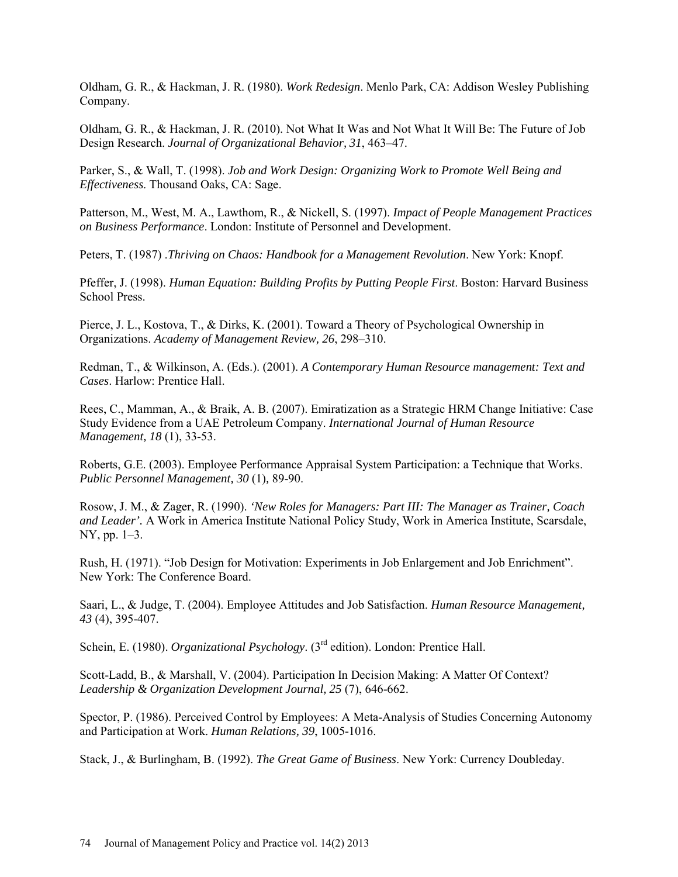Oldham, G. R., & Hackman, J. R. (1980). *Work Redesign*. Menlo Park, CA: Addison Wesley Publishing Company.

Oldham, G. R., & Hackman, J. R. (2010). Not What It Was and Not What It Will Be: The Future of Job Design Research. *Journal of Organizational Behavior, 31*, 463–47.

Parker, S., & Wall, T. (1998). *Job and Work Design: Organizing Work to Promote Well Being and Effectiveness*. Thousand Oaks, CA: Sage.

Patterson, M., West, M. A., Lawthom, R., & Nickell, S. (1997). *Impact of People Management Practices on Business Performance*. London: Institute of Personnel and Development.

Peters, T. (1987) .*Thriving on Chaos: Handbook for a Management Revolution*. New York: Knopf.

Pfeffer, J. (1998). *Human Equation: Building Profits by Putting People First*. Boston: Harvard Business School Press.

Pierce, J. L., Kostova, T., & Dirks, K. (2001). Toward a Theory of Psychological Ownership in Organizations. *Academy of Management Review, 26*, 298–310.

Redman, T., & Wilkinson, A. (Eds.). (2001). *A Contemporary Human Resource management: Text and Cases*. Harlow: Prentice Hall.

Rees, C., Mamman, A., & Braik, A. B. (2007). Emiratization as a Strategic HRM Change Initiative: Case Study Evidence from a UAE Petroleum Company. *[International Journal of Human Resource](http://www.ingentaconnect.com/content/routledg/rijh)  [Management,](http://www.ingentaconnect.com/content/routledg/rijh) 18* (1), 33-53.

Roberts, G.E. (2003). Employee Performance Appraisal System Participation: a Technique that Works. *Public Personnel Management, 30* (1)*,* 89-90.

Rosow, J. M., & Zager, R. (1990). *'New Roles for Managers: Part III: The Manager as Trainer, Coach and Leader'.* A Work in America Institute National Policy Study, Work in America Institute, Scarsdale, NY, pp. 1–3.

Rush, H. (1971). "Job Design for Motivation: Experiments in Job Enlargement and Job Enrichment". New York: The Conference Board.

Saari, L., & Judge, T. (2004). Employee Attitudes and Job Satisfaction. *Human Resource Management, 43* (4), 395-407.

Schein, E. (1980). *Organizational Psychology*. (3rd edition). London: Prentice Hall.

Scott-Ladd, B., & Marshall, V. (2004). Participation In Decision Making: A Matter Of Context? *Leadership & Organization Development Journal, 25* (7), 646-662.

Spector, P. (1986). Perceived Control by Employees: A Meta-Analysis of Studies Concerning Autonomy and Participation at Work. *Human Relations, 39*, 1005-1016.

Stack, J., & Burlingham, B. (1992). *The Great Game of Business*. New York: Currency Doubleday.